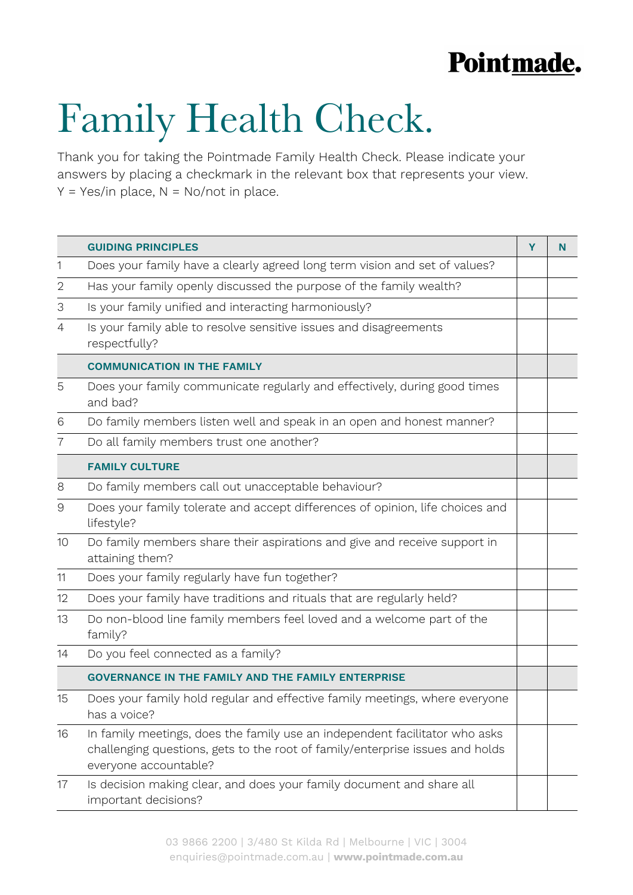## Pointmade.

## Family Health Check.

Thank you for taking the Pointmade Family Health Check. Please indicate your answers by placing a checkmark in the relevant box that represents your view.  $Y = Yes/in place, N = No/not in place.$ 

|                | <b>GUIDING PRINCIPLES</b>                                                                                                                                                             | Y | N |
|----------------|---------------------------------------------------------------------------------------------------------------------------------------------------------------------------------------|---|---|
| 1              | Does your family have a clearly agreed long term vision and set of values?                                                                                                            |   |   |
| 2              | Has your family openly discussed the purpose of the family wealth?                                                                                                                    |   |   |
| 3              | Is your family unified and interacting harmoniously?                                                                                                                                  |   |   |
| 4              | Is your family able to resolve sensitive issues and disagreements<br>respectfully?                                                                                                    |   |   |
|                | <b>COMMUNICATION IN THE FAMILY</b>                                                                                                                                                    |   |   |
| 5              | Does your family communicate regularly and effectively, during good times<br>and bad?                                                                                                 |   |   |
| 6              | Do family members listen well and speak in an open and honest manner?                                                                                                                 |   |   |
| $\overline{7}$ | Do all family members trust one another?                                                                                                                                              |   |   |
|                | <b>FAMILY CULTURE</b>                                                                                                                                                                 |   |   |
| 8              | Do family members call out unacceptable behaviour?                                                                                                                                    |   |   |
| $\Theta$       | Does your family tolerate and accept differences of opinion, life choices and<br>lifestyle?                                                                                           |   |   |
| 10             | Do family members share their aspirations and give and receive support in<br>attaining them?                                                                                          |   |   |
| 11             | Does your family regularly have fun together?                                                                                                                                         |   |   |
| 12             | Does your family have traditions and rituals that are regularly held?                                                                                                                 |   |   |
| 13             | Do non-blood line family members feel loved and a welcome part of the<br>family?                                                                                                      |   |   |
| 14             | Do you feel connected as a family?                                                                                                                                                    |   |   |
|                | <b>GOVERNANCE IN THE FAMILY AND THE FAMILY ENTERPRISE</b>                                                                                                                             |   |   |
| 15             | Does your family hold regular and effective family meetings, where everyone<br>has a voice?                                                                                           |   |   |
| 16             | In family meetings, does the family use an independent facilitator who asks<br>challenging questions, gets to the root of family/enterprise issues and holds<br>everyone accountable? |   |   |
| 17             | Is decision making clear, and does your family document and share all<br>important decisions?                                                                                         |   |   |